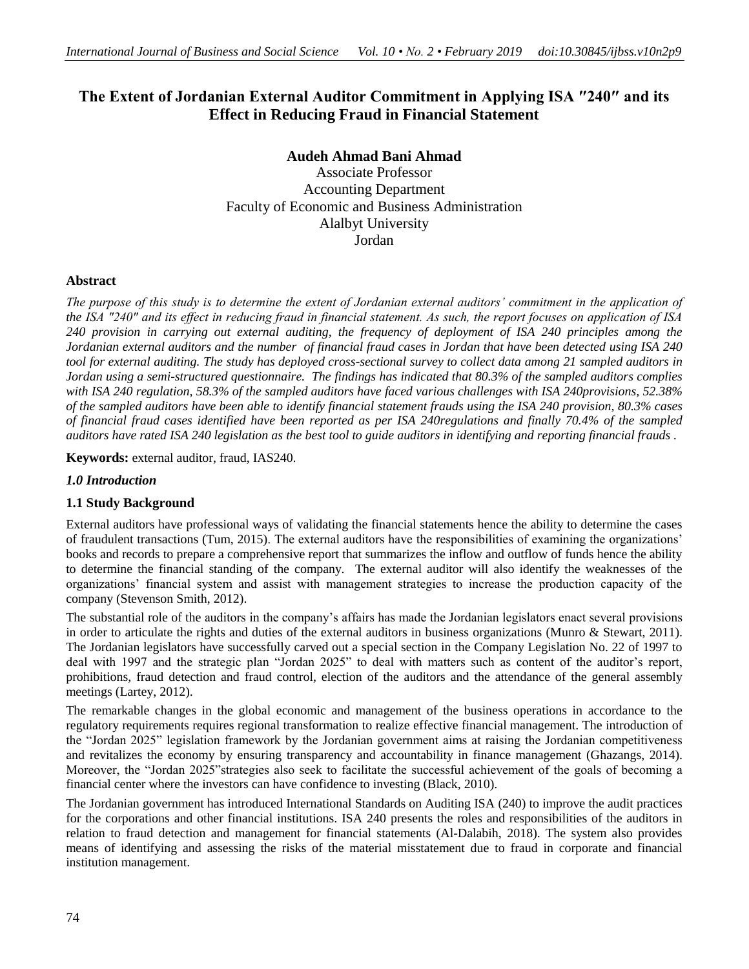# **The Extent of Jordanian External Auditor Commitment in Applying ISA ″240″ and its Effect in Reducing Fraud in Financial Statement**

# **Audeh Ahmad Bani Ahmad**

Associate Professor Accounting Department Faculty of Economic and Business Administration Alalbyt University Jordan

# **Abstract**

*The purpose of this study is to determine the extent of Jordanian external auditors' commitment in the application of the ISA ″240″ and its effect in reducing fraud in financial statement. As such, the report focuses on application of ISA 240 provision in carrying out external auditing, the frequency of deployment of ISA 240 principles among the Jordanian external auditors and the number of financial fraud cases in Jordan that have been detected using ISA 240 tool for external auditing. The study has deployed cross-sectional survey to collect data among 21 sampled auditors in Jordan using a semi-structured questionnaire. The findings has indicated that 80.3% of the sampled auditors complies with ISA 240 regulation, 58.3% of the sampled auditors have faced various challenges with ISA 240provisions, 52.38% of the sampled auditors have been able to identify financial statement frauds using the ISA 240 provision, 80.3% cases of financial fraud cases identified have been reported as per ISA 240regulations and finally 70.4% of the sampled auditors have rated ISA 240 legislation as the best tool to guide auditors in identifying and reporting financial frauds .* 

**Keywords:** external auditor, fraud, IAS240.

# *1.0 Introduction*

# **1.1 Study Background**

External auditors have professional ways of validating the financial statements hence the ability to determine the cases of fraudulent transactions (Tum, 2015). The external auditors have the responsibilities of examining the organizations' books and records to prepare a comprehensive report that summarizes the inflow and outflow of funds hence the ability to determine the financial standing of the company. The external auditor will also identify the weaknesses of the organizations' financial system and assist with management strategies to increase the production capacity of the company (Stevenson Smith, 2012).

The substantial role of the auditors in the company's affairs has made the Jordanian legislators enact several provisions in order to articulate the rights and duties of the external auditors in business organizations (Munro & Stewart, 2011). The Jordanian legislators have successfully carved out a special section in the Company Legislation No. 22 of 1997 to deal with 1997 and the strategic plan "Jordan 2025" to deal with matters such as content of the auditor's report, prohibitions, fraud detection and fraud control, election of the auditors and the attendance of the general assembly meetings (Lartey, 2012).

The remarkable changes in the global economic and management of the business operations in accordance to the regulatory requirements requires regional transformation to realize effective financial management. The introduction of the "Jordan 2025" legislation framework by the Jordanian government aims at raising the Jordanian competitiveness and revitalizes the economy by ensuring transparency and accountability in finance management (Ghazangs, 2014). Moreover, the "Jordan 2025"strategies also seek to facilitate the successful achievement of the goals of becoming a financial center where the investors can have confidence to investing (Black, 2010).

The Jordanian government has introduced International Standards on Auditing ISA (240) to improve the audit practices for the corporations and other financial institutions. ISA 240 presents the roles and responsibilities of the auditors in relation to fraud detection and management for financial statements (Al-Dalabih, 2018). The system also provides means of identifying and assessing the risks of the material misstatement due to fraud in corporate and financial institution management.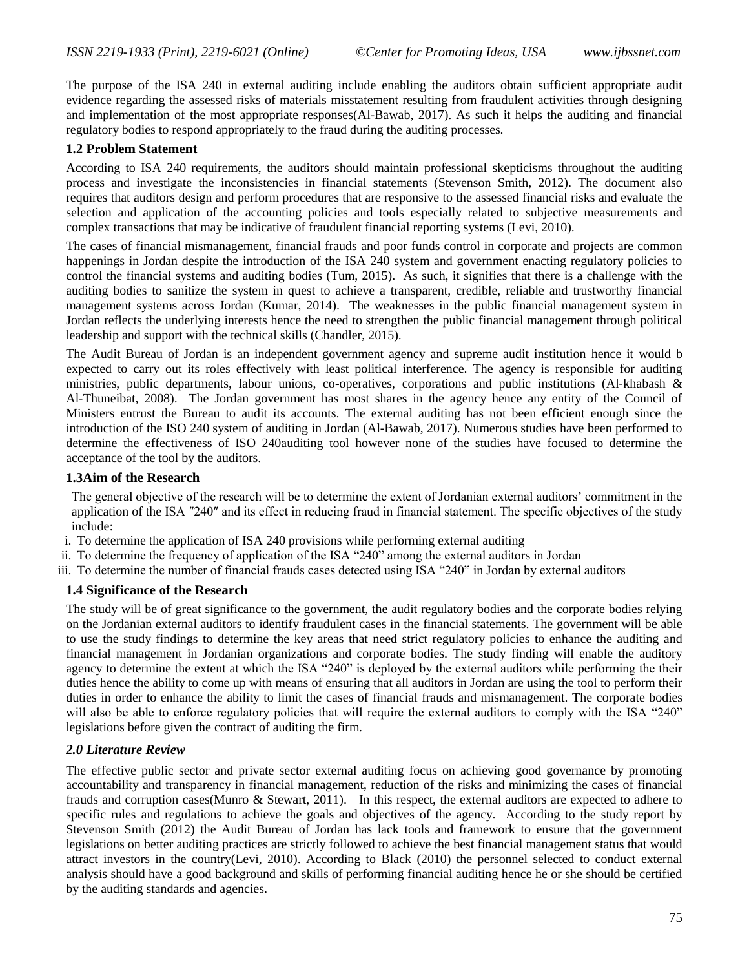The purpose of the ISA 240 in external auditing include enabling the auditors obtain sufficient appropriate audit evidence regarding the assessed risks of materials misstatement resulting from fraudulent activities through designing and implementation of the most appropriate responses(Al-Bawab, 2017). As such it helps the auditing and financial regulatory bodies to respond appropriately to the fraud during the auditing processes.

### **1.2 Problem Statement**

According to ISA 240 requirements, the auditors should maintain professional skepticisms throughout the auditing process and investigate the inconsistencies in financial statements (Stevenson Smith, 2012). The document also requires that auditors design and perform procedures that are responsive to the assessed financial risks and evaluate the selection and application of the accounting policies and tools especially related to subjective measurements and complex transactions that may be indicative of fraudulent financial reporting systems (Levi, 2010).

The cases of financial mismanagement, financial frauds and poor funds control in corporate and projects are common happenings in Jordan despite the introduction of the ISA 240 system and government enacting regulatory policies to control the financial systems and auditing bodies (Tum, 2015). As such, it signifies that there is a challenge with the auditing bodies to sanitize the system in quest to achieve a transparent, credible, reliable and trustworthy financial management systems across Jordan (Kumar, 2014). The weaknesses in the public financial management system in Jordan reflects the underlying interests hence the need to strengthen the public financial management through political leadership and support with the technical skills (Chandler, 2015).

The Audit Bureau of Jordan is an independent government agency and supreme audit institution hence it would b expected to carry out its roles effectively with least political interference. The agency is responsible for auditing ministries, public departments, labour unions, co-operatives, corporations and public institutions (Al‐khabash & Al‐Thuneibat, 2008). The Jordan government has most shares in the agency hence any entity of the Council of Ministers entrust the Bureau to audit its accounts. The external auditing has not been efficient enough since the introduction of the ISO 240 system of auditing in Jordan (Al-Bawab, 2017). Numerous studies have been performed to determine the effectiveness of ISO 240auditing tool however none of the studies have focused to determine the acceptance of the tool by the auditors.

#### **1.3Aim of the Research**

The general objective of the research will be to determine the extent of Jordanian external auditors' commitment in the application of the ISA ″240″ and its effect in reducing fraud in financial statement. The specific objectives of the study include:

- i. To determine the application of ISA 240 provisions while performing external auditing
- ii. To determine the frequency of application of the ISA "240" among the external auditors in Jordan
- iii. To determine the number of financial frauds cases detected using ISA "240" in Jordan by external auditors

#### **1.4 Significance of the Research**

The study will be of great significance to the government, the audit regulatory bodies and the corporate bodies relying on the Jordanian external auditors to identify fraudulent cases in the financial statements. The government will be able to use the study findings to determine the key areas that need strict regulatory policies to enhance the auditing and financial management in Jordanian organizations and corporate bodies. The study finding will enable the auditory agency to determine the extent at which the ISA "240" is deployed by the external auditors while performing the their duties hence the ability to come up with means of ensuring that all auditors in Jordan are using the tool to perform their duties in order to enhance the ability to limit the cases of financial frauds and mismanagement. The corporate bodies will also be able to enforce regulatory policies that will require the external auditors to comply with the ISA "240" legislations before given the contract of auditing the firm.

# *2.0 Literature Review*

The effective public sector and private sector external auditing focus on achieving good governance by promoting accountability and transparency in financial management, reduction of the risks and minimizing the cases of financial frauds and corruption cases(Munro & Stewart, 2011). In this respect, the external auditors are expected to adhere to specific rules and regulations to achieve the goals and objectives of the agency. According to the study report by Stevenson Smith (2012) the Audit Bureau of Jordan has lack tools and framework to ensure that the government legislations on better auditing practices are strictly followed to achieve the best financial management status that would attract investors in the country(Levi, 2010). According to Black (2010) the personnel selected to conduct external analysis should have a good background and skills of performing financial auditing hence he or she should be certified by the auditing standards and agencies.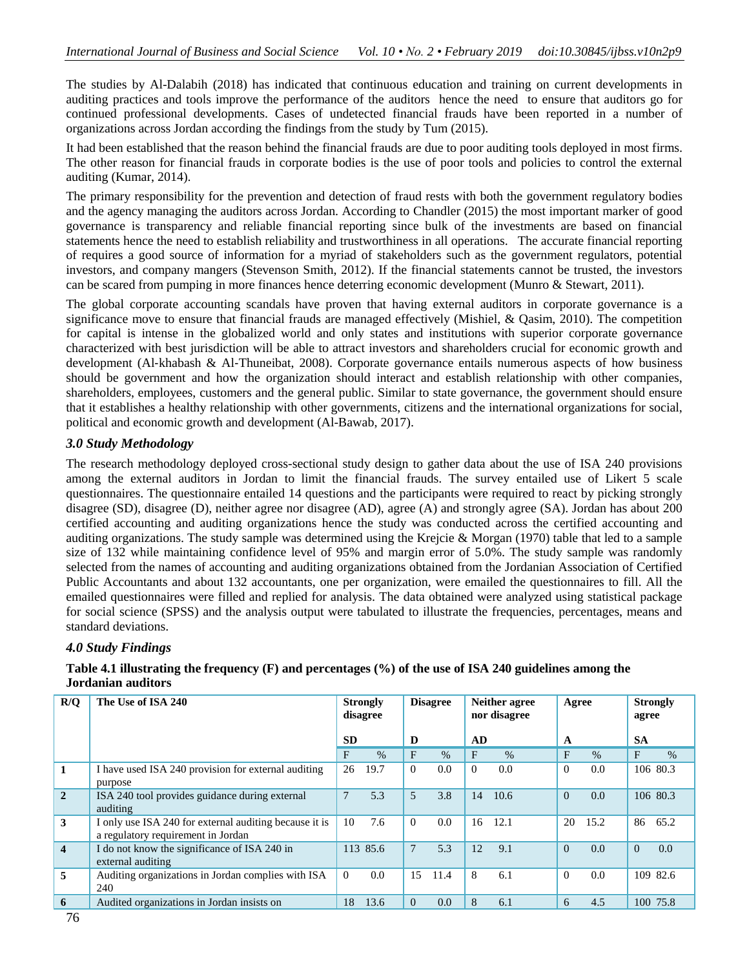The studies by Al-Dalabih (2018) has indicated that continuous education and training on current developments in auditing practices and tools improve the performance of the auditors hence the need to ensure that auditors go for continued professional developments. Cases of undetected financial frauds have been reported in a number of organizations across Jordan according the findings from the study by Tum (2015).

It had been established that the reason behind the financial frauds are due to poor auditing tools deployed in most firms. The other reason for financial frauds in corporate bodies is the use of poor tools and policies to control the external auditing (Kumar, 2014).

The primary responsibility for the prevention and detection of fraud rests with both the government regulatory bodies and the agency managing the auditors across Jordan. According to Chandler (2015) the most important marker of good governance is transparency and reliable financial reporting since bulk of the investments are based on financial statements hence the need to establish reliability and trustworthiness in all operations. The accurate financial reporting of requires a good source of information for a myriad of stakeholders such as the government regulators, potential investors, and company mangers (Stevenson Smith, 2012). If the financial statements cannot be trusted, the investors can be scared from pumping in more finances hence deterring economic development (Munro & Stewart, 2011).

The global corporate accounting scandals have proven that having external auditors in corporate governance is a significance move to ensure that financial frauds are managed effectively (Mishiel, & Qasim, 2010). The competition for capital is intense in the globalized world and only states and institutions with superior corporate governance characterized with best jurisdiction will be able to attract investors and shareholders crucial for economic growth and development (Al-khabash & Al-Thuneibat, 2008). Corporate governance entails numerous aspects of how business should be government and how the organization should interact and establish relationship with other companies, shareholders, employees, customers and the general public. Similar to state governance, the government should ensure that it establishes a healthy relationship with other governments, citizens and the international organizations for social, political and economic growth and development (Al-Bawab, 2017).

# *3.0 Study Methodology*

The research methodology deployed cross-sectional study design to gather data about the use of ISA 240 provisions among the external auditors in Jordan to limit the financial frauds. The survey entailed use of Likert 5 scale questionnaires. The questionnaire entailed 14 questions and the participants were required to react by picking strongly disagree (SD), disagree (D), neither agree nor disagree (AD), agree (A) and strongly agree (SA). Jordan has about 200 certified accounting and auditing organizations hence the study was conducted across the certified accounting and auditing organizations. The study sample was determined using the Krejcie & Morgan (1970) table that led to a sample size of 132 while maintaining confidence level of 95% and margin error of 5.0%. The study sample was randomly selected from the names of accounting and auditing organizations obtained from the Jordanian Association of Certified Public Accountants and about 132 accountants, one per organization, were emailed the questionnaires to fill. All the emailed questionnaires were filled and replied for analysis. The data obtained were analyzed using statistical package for social science (SPSS) and the analysis output were tabulated to illustrate the frequencies, percentages, means and standard deviations.

# *4.0 Study Findings*

### **Table 4.1 illustrating the frequency (F) and percentages (%) of the use of ISA 240 guidelines among the Jordanian auditors**

| R/Q                     | The Use of ISA 240                                                                           | <b>Strongly</b><br>disagree |      | <b>Disagree</b> |      | Neither agree<br>nor disagree |      | Agree    |      | <b>Strongly</b><br>agree |          |
|-------------------------|----------------------------------------------------------------------------------------------|-----------------------------|------|-----------------|------|-------------------------------|------|----------|------|--------------------------|----------|
|                         |                                                                                              | <b>SD</b>                   |      | D               |      | AD.                           |      | A        |      | <b>SA</b>                |          |
|                         |                                                                                              | F                           | $\%$ | F               | $\%$ | F                             | $\%$ | F        | $\%$ | F                        | $\%$     |
| 1                       | I have used ISA 240 provision for external auditing<br>purpose                               | 26                          | 19.7 | $\theta$        | 0.0  | $\Omega$                      | 0.0  | $\theta$ | 0.0  |                          | 106 80.3 |
| $\overline{2}$          | ISA 240 tool provides guidance during external<br>auditing                                   | $\overline{7}$              | 5.3  | 5               | 3.8  | 14                            | 10.6 | $\Omega$ | 0.0  |                          | 106 80.3 |
| 3                       | I only use ISA 240 for external auditing because it is<br>a regulatory requirement in Jordan | 10                          | 7.6  | $\Omega$        | 0.0  | 16                            | 12.1 | 20       | 15.2 | 86                       | 65.2     |
| $\overline{\mathbf{4}}$ | I do not know the significance of ISA 240 in<br>external auditing                            | 113 85.6                    |      | 7               | 5.3  | 12                            | 9.1  | $\Omega$ | 0.0  | $\Omega$                 | 0.0      |
| 5                       | Auditing organizations in Jordan complies with ISA<br>240                                    | $\theta$                    | 0.0  | 15              | 11.4 | 8                             | 6.1  | $\theta$ | 0.0  |                          | 109 82.6 |
| 6                       | Audited organizations in Jordan insists on                                                   | 18                          | 13.6 | $\theta$        | 0.0  | 8                             | 6.1  | 6        | 4.5  |                          | 100 75.8 |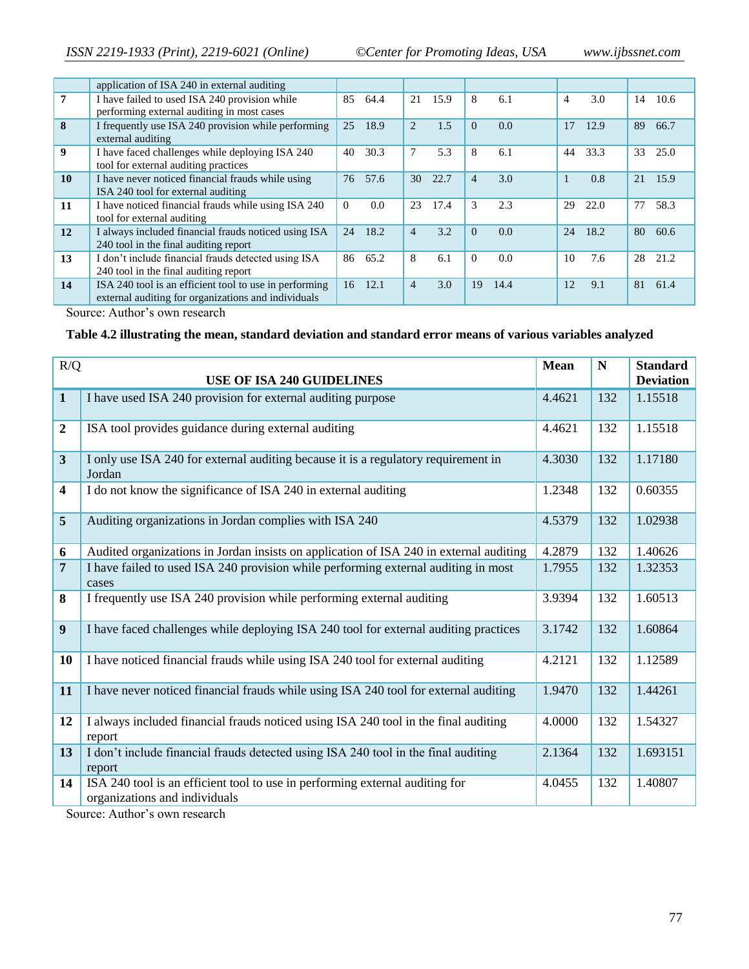|                  | application of ISA 240 in external auditing                                                                   |          |      |                |      |                |      |                |      |    |      |
|------------------|---------------------------------------------------------------------------------------------------------------|----------|------|----------------|------|----------------|------|----------------|------|----|------|
| $\overline{7}$   | I have failed to used ISA 240 provision while<br>performing external auditing in most cases                   | 85       | 64.4 | 21             | 15.9 | 8              | 6.1  | $\overline{4}$ | 3.0  | 14 | 10.6 |
| 8                | I frequently use ISA 240 provision while performing<br>external auditing                                      | 25       | 18.9 | 2              | 1.5  | $\Omega$       | 0.0  | 17             | 12.9 | 89 | 66.7 |
| $\boldsymbol{9}$ | I have faced challenges while deploying ISA 240<br>tool for external auditing practices                       | 40       | 30.3 | 7              | 5.3  | 8              | 6.1  | 44             | 33.3 | 33 | 25.0 |
| 10               | I have never noticed financial frauds while using<br>ISA 240 tool for external auditing                       | 76       | 57.6 | 30             | 22.7 | $\overline{4}$ | 3.0  |                | 0.8  | 21 | 15.9 |
| 11               | I have noticed financial frauds while using ISA 240<br>tool for external auditing                             | $\Omega$ | 0.0  | 23             | 17.4 | 3              | 2.3  | 29             | 22.0 | 77 | 58.3 |
| 12               | I always included financial frauds noticed using ISA<br>240 tool in the final auditing report                 | 24       | 18.2 | $\overline{4}$ | 3.2  | $\Omega$       | 0.0  | 24             | 18.2 | 80 | 60.6 |
| 13               | I don't include financial frauds detected using ISA<br>240 tool in the final auditing report                  | 86       | 65.2 | 8              | 6.1  | $\Omega$       | 0.0  | 10             | 7.6  | 28 | 21.2 |
| 14               | ISA 240 tool is an efficient tool to use in performing<br>external auditing for organizations and individuals | 16       | 12.1 | $\overline{4}$ | 3.0  | 19             | 14.4 | 12             | 9.1  | 81 | 61.4 |

Source: Author's own research

# **Table 4.2 illustrating the mean, standard deviation and standard error means of various variables analyzed**

| R/Q              | <b>USE OF ISA 240 GUIDELINES</b>                                                                              | <b>Mean</b> | $\mathbf N$ | <b>Standard</b><br><b>Deviation</b> |
|------------------|---------------------------------------------------------------------------------------------------------------|-------------|-------------|-------------------------------------|
| $\mathbf{1}$     | I have used ISA 240 provision for external auditing purpose                                                   | 4.4621      | 132         | 1.15518                             |
| $\boldsymbol{2}$ | ISA tool provides guidance during external auditing                                                           | 4.4621      | 132         | 1.15518                             |
| $\overline{3}$   | I only use ISA 240 for external auditing because it is a regulatory requirement in<br>Jordan                  | 4.3030      | 132         | 1.17180                             |
| 4                | I do not know the significance of ISA 240 in external auditing                                                | 1.2348      | 132         | 0.60355                             |
| 5                | Auditing organizations in Jordan complies with ISA 240                                                        | 4.5379      | 132         | 1.02938                             |
| 6                | Audited organizations in Jordan insists on application of ISA 240 in external auditing                        | 4.2879      | 132         | 1.40626                             |
| 7                | I have failed to used ISA 240 provision while performing external auditing in most<br>cases                   | 1.7955      | 132         | 1.32353                             |
| 8                | I frequently use ISA 240 provision while performing external auditing                                         | 3.9394      | 132         | 1.60513                             |
| 9                | I have faced challenges while deploying ISA 240 tool for external auditing practices                          | 3.1742      | 132         | 1.60864                             |
| 10               | I have noticed financial frauds while using ISA 240 tool for external auditing                                | 4.2121      | 132         | 1.12589                             |
| 11               | I have never noticed financial frauds while using ISA 240 tool for external auditing                          | 1.9470      | 132         | 1.44261                             |
| 12               | I always included financial frauds noticed using ISA 240 tool in the final auditing<br>report                 | 4.0000      | 132         | 1.54327                             |
| 13               | I don't include financial frauds detected using ISA 240 tool in the final auditing<br>report                  | 2.1364      | 132         | 1.693151                            |
| 14               | ISA 240 tool is an efficient tool to use in performing external auditing for<br>organizations and individuals | 4.0455      | 132         | 1.40807                             |

Source: Author's own research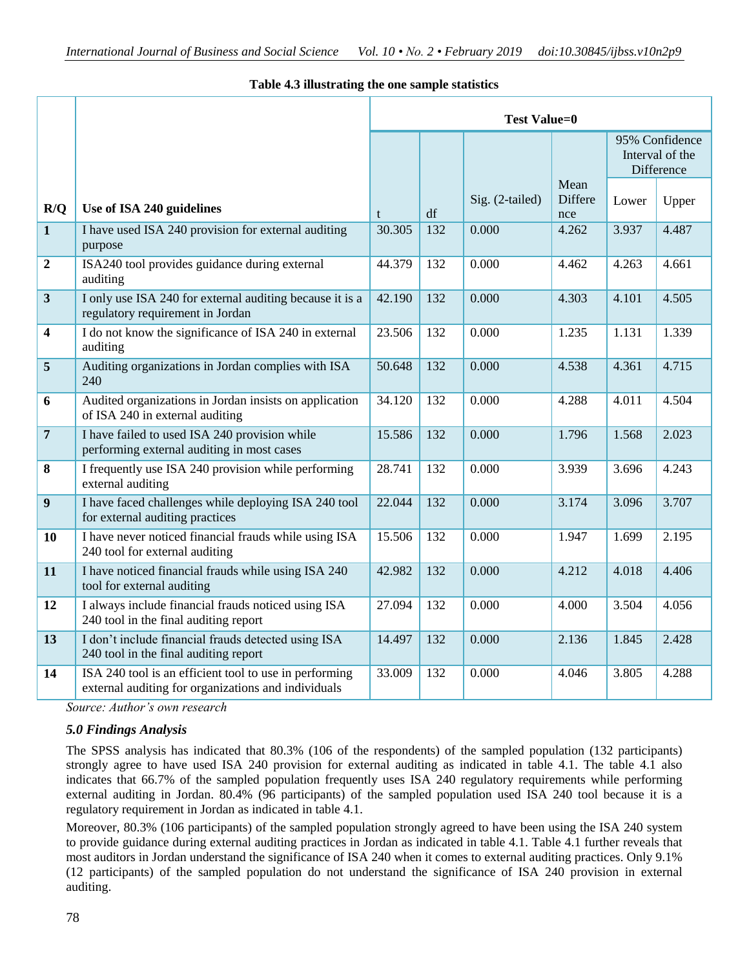# **Table 4.3 illustrating the one sample statistics**

|                         |                                                                                                               | <b>Test Value=0</b> |     |                 |                        |       |                                                 |  |  |
|-------------------------|---------------------------------------------------------------------------------------------------------------|---------------------|-----|-----------------|------------------------|-------|-------------------------------------------------|--|--|
|                         |                                                                                                               |                     |     |                 |                        |       | 95% Confidence<br>Interval of the<br>Difference |  |  |
| R/Q                     | Use of ISA 240 guidelines                                                                                     | t                   | df  | Sig. (2-tailed) | Mean<br>Differe<br>nce | Lower | Upper                                           |  |  |
| $\mathbf{1}$            | I have used ISA 240 provision for external auditing<br>purpose                                                | 30.305              | 132 | 0.000           | 4.262                  | 3.937 | 4.487                                           |  |  |
| $\overline{2}$          | ISA240 tool provides guidance during external<br>auditing                                                     | 44.379              | 132 | 0.000           | 4.462                  | 4.263 | 4.661                                           |  |  |
| $\overline{\mathbf{3}}$ | I only use ISA 240 for external auditing because it is a<br>regulatory requirement in Jordan                  | 42.190              | 132 | 0.000           | 4.303                  | 4.101 | 4.505                                           |  |  |
| $\overline{\mathbf{4}}$ | I do not know the significance of ISA 240 in external<br>auditing                                             | 23.506              | 132 | 0.000           | 1.235                  | 1.131 | 1.339                                           |  |  |
| $\overline{5}$          | Auditing organizations in Jordan complies with ISA<br>240                                                     | 50.648              | 132 | 0.000           | 4.538                  | 4.361 | 4.715                                           |  |  |
| 6                       | Audited organizations in Jordan insists on application<br>of ISA 240 in external auditing                     | 34.120              | 132 | 0.000           | 4.288                  | 4.011 | 4.504                                           |  |  |
| $\overline{7}$          | I have failed to used ISA 240 provision while<br>performing external auditing in most cases                   | 15.586              | 132 | 0.000           | 1.796                  | 1.568 | 2.023                                           |  |  |
| 8                       | I frequently use ISA 240 provision while performing<br>external auditing                                      | 28.741              | 132 | 0.000           | 3.939                  | 3.696 | 4.243                                           |  |  |
| 9                       | I have faced challenges while deploying ISA 240 tool<br>for external auditing practices                       | 22.044              | 132 | 0.000           | 3.174                  | 3.096 | 3.707                                           |  |  |
| 10                      | I have never noticed financial frauds while using ISA<br>240 tool for external auditing                       | 15.506              | 132 | 0.000           | 1.947                  | 1.699 | 2.195                                           |  |  |
| 11                      | I have noticed financial frauds while using ISA 240<br>tool for external auditing                             | 42.982              | 132 | 0.000           | 4.212                  | 4.018 | 4.406                                           |  |  |
| 12                      | I always include financial frauds noticed using ISA<br>240 tool in the final auditing report                  | 27.094              | 132 | 0.000           | 4.000                  | 3.504 | 4.056                                           |  |  |
| 13                      | I don't include financial frauds detected using ISA<br>240 tool in the final auditing report                  | 14.497              | 132 | 0.000           | 2.136                  | 1.845 | 2.428                                           |  |  |
| 14                      | ISA 240 tool is an efficient tool to use in performing<br>external auditing for organizations and individuals | 33.009              | 132 | 0.000           | 4.046                  | 3.805 | 4.288                                           |  |  |

*Source: Author's own research*

# *5.0 Findings Analysis*

The SPSS analysis has indicated that 80.3% (106 of the respondents) of the sampled population (132 participants) strongly agree to have used ISA 240 provision for external auditing as indicated in table 4.1. The table 4.1 also indicates that 66.7% of the sampled population frequently uses ISA 240 regulatory requirements while performing external auditing in Jordan. 80.4% (96 participants) of the sampled population used ISA 240 tool because it is a regulatory requirement in Jordan as indicated in table 4.1.

Moreover, 80.3% (106 participants) of the sampled population strongly agreed to have been using the ISA 240 system to provide guidance during external auditing practices in Jordan as indicated in table 4.1. Table 4.1 further reveals that most auditors in Jordan understand the significance of ISA 240 when it comes to external auditing practices. Only 9.1% (12 participants) of the sampled population do not understand the significance of ISA 240 provision in external auditing.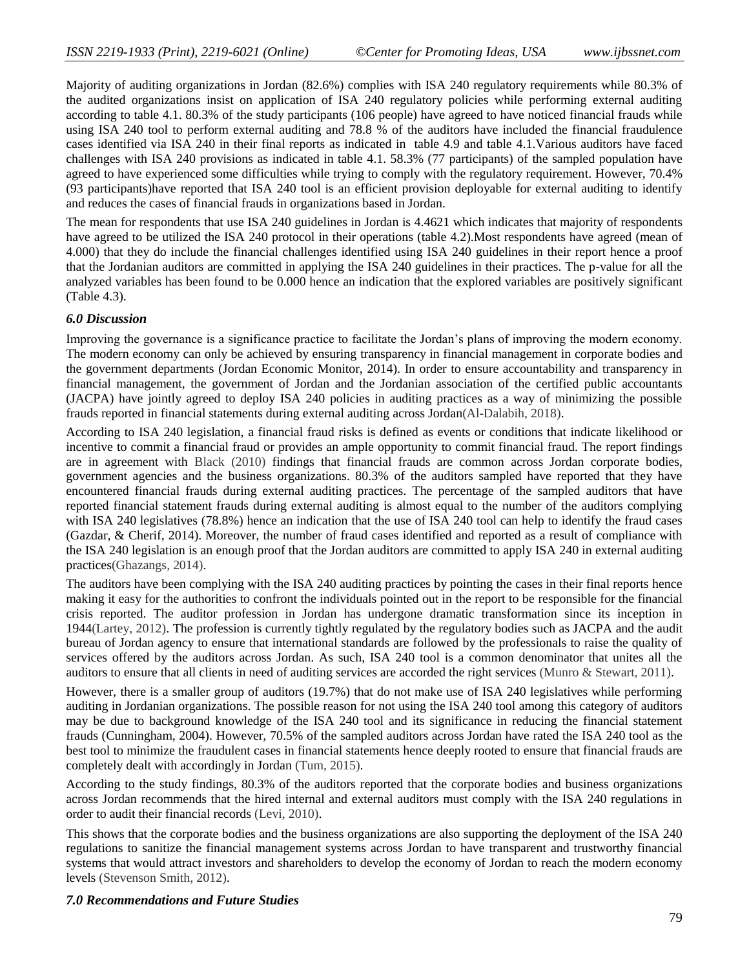Majority of auditing organizations in Jordan (82.6%) complies with ISA 240 regulatory requirements while 80.3% of the audited organizations insist on application of ISA 240 regulatory policies while performing external auditing according to table 4.1. 80.3% of the study participants (106 people) have agreed to have noticed financial frauds while using ISA 240 tool to perform external auditing and 78.8 % of the auditors have included the financial fraudulence cases identified via ISA 240 in their final reports as indicated in table 4.9 and table 4.1.Various auditors have faced challenges with ISA 240 provisions as indicated in table 4.1. 58.3% (77 participants) of the sampled population have agreed to have experienced some difficulties while trying to comply with the regulatory requirement. However, 70.4% (93 participants)have reported that ISA 240 tool is an efficient provision deployable for external auditing to identify and reduces the cases of financial frauds in organizations based in Jordan.

The mean for respondents that use ISA 240 guidelines in Jordan is 4.4621 which indicates that majority of respondents have agreed to be utilized the ISA 240 protocol in their operations (table 4.2).Most respondents have agreed (mean of 4.000) that they do include the financial challenges identified using ISA 240 guidelines in their report hence a proof that the Jordanian auditors are committed in applying the ISA 240 guidelines in their practices. The p-value for all the analyzed variables has been found to be 0.000 hence an indication that the explored variables are positively significant (Table 4.3).

#### *6.0 Discussion*

Improving the governance is a significance practice to facilitate the Jordan's plans of improving the modern economy. The modern economy can only be achieved by ensuring transparency in financial management in corporate bodies and the government departments (Jordan Economic Monitor, 2014). In order to ensure accountability and transparency in financial management, the government of Jordan and the Jordanian association of the certified public accountants (JACPA) have jointly agreed to deploy ISA 240 policies in auditing practices as a way of minimizing the possible frauds reported in financial statements during external auditing across Jordan(Al-Dalabih, 2018).

According to ISA 240 legislation, a financial fraud risks is defined as events or conditions that indicate likelihood or incentive to commit a financial fraud or provides an ample opportunity to commit financial fraud. The report findings are in agreement with Black (2010) findings that financial frauds are common across Jordan corporate bodies, government agencies and the business organizations. 80.3% of the auditors sampled have reported that they have encountered financial frauds during external auditing practices. The percentage of the sampled auditors that have reported financial statement frauds during external auditing is almost equal to the number of the auditors complying with ISA 240 legislatives (78.8%) hence an indication that the use of ISA 240 tool can help to identify the fraud cases (Gazdar, & Cherif, 2014). Moreover, the number of fraud cases identified and reported as a result of compliance with the ISA 240 legislation is an enough proof that the Jordan auditors are committed to apply ISA 240 in external auditing practices(Ghazangs, 2014).

The auditors have been complying with the ISA 240 auditing practices by pointing the cases in their final reports hence making it easy for the authorities to confront the individuals pointed out in the report to be responsible for the financial crisis reported. The auditor profession in Jordan has undergone dramatic transformation since its inception in 1944(Lartey, 2012). The profession is currently tightly regulated by the regulatory bodies such as JACPA and the audit bureau of Jordan agency to ensure that international standards are followed by the professionals to raise the quality of services offered by the auditors across Jordan. As such, ISA 240 tool is a common denominator that unites all the auditors to ensure that all clients in need of auditing services are accorded the right services (Munro & Stewart, 2011).

However, there is a smaller group of auditors (19.7%) that do not make use of ISA 240 legislatives while performing auditing in Jordanian organizations. The possible reason for not using the ISA 240 tool among this category of auditors may be due to background knowledge of the ISA 240 tool and its significance in reducing the financial statement frauds (Cunningham, 2004). However, 70.5% of the sampled auditors across Jordan have rated the ISA 240 tool as the best tool to minimize the fraudulent cases in financial statements hence deeply rooted to ensure that financial frauds are completely dealt with accordingly in Jordan (Tum, 2015).

According to the study findings, 80.3% of the auditors reported that the corporate bodies and business organizations across Jordan recommends that the hired internal and external auditors must comply with the ISA 240 regulations in order to audit their financial records (Levi, 2010).

This shows that the corporate bodies and the business organizations are also supporting the deployment of the ISA 240 regulations to sanitize the financial management systems across Jordan to have transparent and trustworthy financial systems that would attract investors and shareholders to develop the economy of Jordan to reach the modern economy levels (Stevenson Smith, 2012).